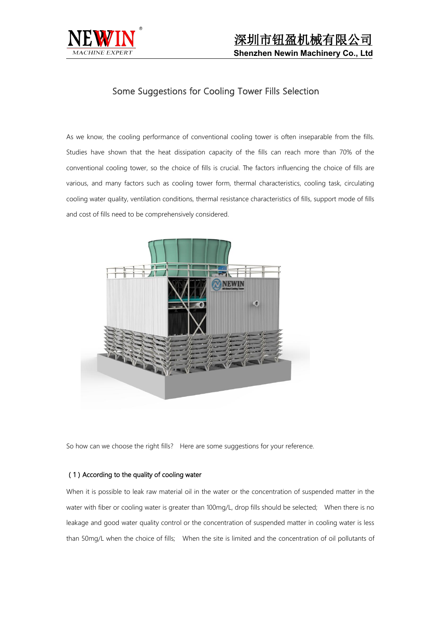

# Some Suggestions for Cooling Tower Fills Selection

As we know, the cooling performance of conventional cooling tower is often inseparable from the fills. Studies have shown that the heat dissipation capacity of the fills can reach more than 70% of the conventional cooling tower, so the choice of fills is crucial. The factors influencing the choice of fills are various, and many factors such as cooling tower form, thermal characteristics, cooling task, circulating cooling water quality, ventilation conditions, thermal resistance characteristics of fills, support mode of fills and cost of fills need to be comprehensively considered.



So how can we choose the right fills? Here are some suggestions for your reference.

### (1) According to the quality of cooling water

When it is possible to leak raw material oil in the water or the concentration of suspended matter in the water with fiber or cooling water is greater than 100mg/L, drop fills should be selected; When there is no leakage and good water quality control or the concentration of suspended matter in cooling water is less than 50mg/L when the choice of fills; When the site is limited and the concentration of oil pollutants of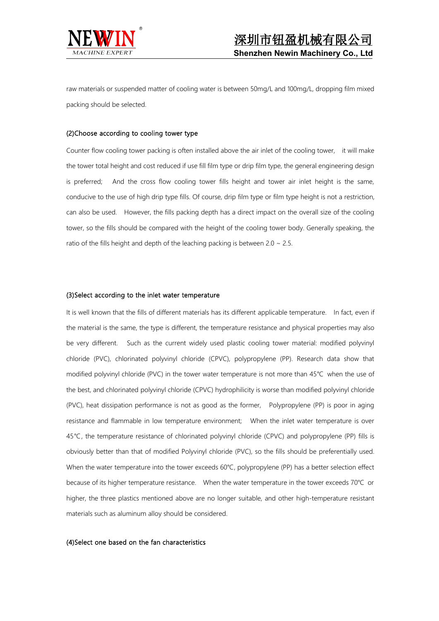

raw materials or suspended matter of cooling water is between 50mg/L and 100mg/L, dropping film mixed packing should be selected.

#### (2)Choose according to cooling tower type

Counter flow cooling tower packing is often installed above the air inlet of the cooling tower, it will make the tower total height and cost reduced if use fill film type or drip film type, the general engineering design is preferred; And the cross flow cooling tower fills height and tower air inlet height is the same, conducive to the use of high drip type fills. Of course, drip film type or film type height is not a restriction, can also be used. However, the fills packing depth has a direct impact on the overall size of the cooling tower, so the fills should be compared with the height of the cooling tower body. Generally speaking, the ratio of the fills height and depth of the leaching packing is between 2.0  $\sim$  2.5.

#### (3)Select according to the inlet water temperature

It is well known that the fills of different materials has its different applicable temperature. In fact, even if the material is the same, the type is different, the temperature resistance and physical properties may also be very different. Such as the current widely used plastic cooling tower material: modified polyvinyl chloride (PVC), chlorinated polyvinyl chloride (CPVC), polypropylene (PP). Research data show that modified polyvinyl chloride (PVC) in the tower water temperature is not more than 45℃ when the use of the best, and chlorinated polyvinyl chloride (CPVC) hydrophilicity is worse than modified polyvinyl chloride (PVC), heat dissipation performance is not as good as the former, Polypropylene (PP) is poor in aging resistance and flammable in low temperature environment; When the inlet water temperature is over 45℃, the temperature resistance of chlorinated polyvinyl chloride (CPVC) and polypropylene (PP) fills is obviously better than that of modified Polyvinyl chloride (PVC), so the fills should be preferentially used. When the water temperature into the tower exceeds 60℃, polypropylene (PP) has a better selection effect because of its higher temperature resistance. When the water temperature in the tower exceeds 70℃ or higher, the three plastics mentioned above are no longer suitable, and other high-temperature resistant materials such as aluminum alloy should be considered.

#### (4)Select one based on the fan characteristics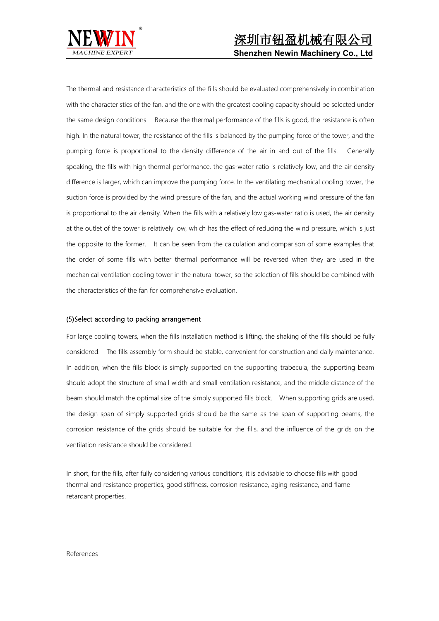

The thermal and resistance characteristics of the fills should be evaluated comprehensively in combination with the characteristics of the fan, and the one with the greatest cooling capacity should be selected under the same design conditions. Because the thermal performance of the fills is good, the resistance is often high. In the natural tower, the resistance of the fills is balanced by the pumping force of the tower, and the pumping force is proportional to the density difference of the air in and out of the fills. Generally speaking, the fills with high thermal performance, the gas-water ratio is relatively low, and the air density difference is larger, which can improve the pumping force. In the ventilating mechanical cooling tower, the suction force is provided by the wind pressure of the fan, and the actual working wind pressure of the fan is proportional to the air density. When the fills with a relatively low gas-water ratio is used, the air density at the outlet of the tower is relatively low, which has the effect of reducing the wind pressure, which is just the opposite to the former. It can be seen from the calculation and comparison of some examples that the order of some fills with better thermal performance will be reversed when they are used in the mechanical ventilation cooling tower in the natural tower, so the selection of fills should be combined with the characteristics of the fan for comprehensive evaluation.

## (5)Select according to packing arrangement

For large cooling towers, when the fills installation method is lifting, the shaking of the fills should be fully considered. The fills assembly form should be stable, convenient for construction and daily maintenance. In addition, when the fills block is simply supported on the supporting trabecula, the supporting beam should adopt the structure of small width and small ventilation resistance, and the middle distance of the beam should match the optimal size of the simply supported fills block. When supporting grids are used, the design span of simply supported grids should be the same as the span of supporting beams, the corrosion resistance of the grids should be suitable for the fills, and the influence of the grids on the ventilation resistance should be considered.

In short, for the fills, after fully considering various conditions, it is advisable to choose fills with good thermal and resistance properties, good stiffness, corrosion resistance, aging resistance, and flame retardant properties.